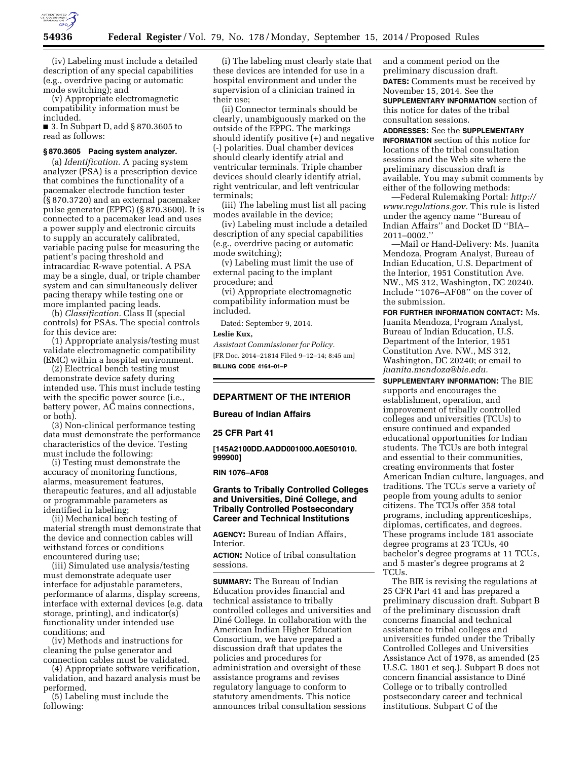

(iv) Labeling must include a detailed description of any special capabilities (e.g., overdrive pacing or automatic mode switching); and

(v) Appropriate electromagnetic compatibility information must be included.

■ 3. In Subpart D, add § 870.3605 to read as follows:

# **§ 870.3605 Pacing system analyzer.**

(a) *Identification.* A pacing system analyzer (PSA) is a prescription device that combines the functionality of a pacemaker electrode function tester (§ 870.3720) and an external pacemaker pulse generator (EPPG) (§ 870.3600). It is connected to a pacemaker lead and uses a power supply and electronic circuits to supply an accurately calibrated, variable pacing pulse for measuring the patient's pacing threshold and intracardiac R-wave potential. A PSA may be a single, dual, or triple chamber system and can simultaneously deliver pacing therapy while testing one or more implanted pacing leads.

(b) *Classification.* Class II (special controls) for PSAs. The special controls for this device are:

(1) Appropriate analysis/testing must validate electromagnetic compatibility (EMC) within a hospital environment.

(2) Electrical bench testing must demonstrate device safety during intended use. This must include testing with the specific power source (*i.e.*, battery power, AC mains connections, or both).

(3) Non-clinical performance testing data must demonstrate the performance characteristics of the device. Testing must include the following:

(i) Testing must demonstrate the accuracy of monitoring functions, alarms, measurement features, therapeutic features, and all adjustable or programmable parameters as identified in labeling;

(ii) Mechanical bench testing of material strength must demonstrate that the device and connection cables will withstand forces or conditions encountered during use;

(iii) Simulated use analysis/testing must demonstrate adequate user interface for adjustable parameters, performance of alarms, display screens, interface with external devices (e.g. data storage, printing), and indicator(s) functionality under intended use conditions; and

(iv) Methods and instructions for cleaning the pulse generator and connection cables must be validated.

(4) Appropriate software verification, validation, and hazard analysis must be performed.

(5) Labeling must include the following:

(i) The labeling must clearly state that these devices are intended for use in a hospital environment and under the supervision of a clinician trained in their use;

(ii) Connector terminals should be clearly, unambiguously marked on the outside of the EPPG. The markings should identify positive (+) and negative (-) polarities. Dual chamber devices should clearly identify atrial and ventricular terminals. Triple chamber devices should clearly identify atrial, right ventricular, and left ventricular terminals;

(iii) The labeling must list all pacing modes available in the device;

(iv) Labeling must include a detailed description of any special capabilities (e.g., overdrive pacing or automatic mode switching);

(v) Labeling must limit the use of external pacing to the implant procedure; and

(vi) Appropriate electromagnetic compatibility information must be included.

Dated: September 9, 2014.

#### **Leslie Kux,**

*Assistant Commissioner for Policy.*  [FR Doc. 2014–21814 Filed 9–12–14; 8:45 am] **BILLING CODE 4164–01–P** 

# **DEPARTMENT OF THE INTERIOR**

**Bureau of Indian Affairs** 

## **25 CFR Part 41**

**[145A2100DD.AADD001000.A0E501010. 999900]** 

### **RIN 1076–AF08**

## **Grants to Tribally Controlled Colleges and Universities, Dine´ College, and Tribally Controlled Postsecondary Career and Technical Institutions**

**AGENCY:** Bureau of Indian Affairs, Interior.

**ACTION:** Notice of tribal consultation sessions.

**SUMMARY:** The Bureau of Indian Education provides financial and technical assistance to tribally controlled colleges and universities and Diné College. In collaboration with the American Indian Higher Education Consortium, we have prepared a discussion draft that updates the policies and procedures for administration and oversight of these assistance programs and revises regulatory language to conform to statutory amendments. This notice announces tribal consultation sessions

and a comment period on the preliminary discussion draft. **DATES:** Comments must be received by November 15, 2014. See the **SUPPLEMENTARY INFORMATION** section of this notice for dates of the tribal consultation sessions.

**ADDRESSES:** See the **SUPPLEMENTARY INFORMATION** section of this notice for locations of the tribal consultation sessions and the Web site where the preliminary discussion draft is available. You may submit comments by either of the following methods:

—Federal Rulemaking Portal: *[http://](http://www.regulations.gov) [www.regulations.gov.](http://www.regulations.gov)* This rule is listed under the agency name ''Bureau of Indian Affairs'' and Docket ID ''BIA– 2011–0002.''

—Mail or Hand-Delivery: Ms. Juanita Mendoza, Program Analyst, Bureau of Indian Education, U.S. Department of the Interior, 1951 Constitution Ave. NW., MS 312, Washington, DC 20240. Include ''1076–AF08'' on the cover of the submission.

**FOR FURTHER INFORMATION CONTACT:** Ms. Juanita Mendoza, Program Analyst, Bureau of Indian Education, U.S. Department of the Interior, 1951 Constitution Ave. NW., MS 312, Washington, DC 20240; or email to *[juanita.mendoza@bie.edu.](mailto:juanita.mendoza@bie.edu)* 

**SUPPLEMENTARY INFORMATION:** The BIE supports and encourages the establishment, operation, and improvement of tribally controlled colleges and universities (TCUs) to ensure continued and expanded educational opportunities for Indian students. The TCUs are both integral and essential to their communities, creating environments that foster American Indian culture, languages, and traditions. The TCUs serve a variety of people from young adults to senior citizens. The TCUs offer 358 total programs, including apprenticeships, diplomas, certificates, and degrees. These programs include 181 associate degree programs at 23 TCUs, 40 bachelor's degree programs at 11 TCUs, and 5 master's degree programs at 2 TCUs.

The BIE is revising the regulations at 25 CFR Part 41 and has prepared a preliminary discussion draft. Subpart B of the preliminary discussion draft concerns financial and technical assistance to tribal colleges and universities funded under the Tribally Controlled Colleges and Universities Assistance Act of 1978, as amended (25 U.S.C. 1801 et seq.). Subpart B does not concern financial assistance to Dine´ College or to tribally controlled postsecondary career and technical institutions. Subpart C of the